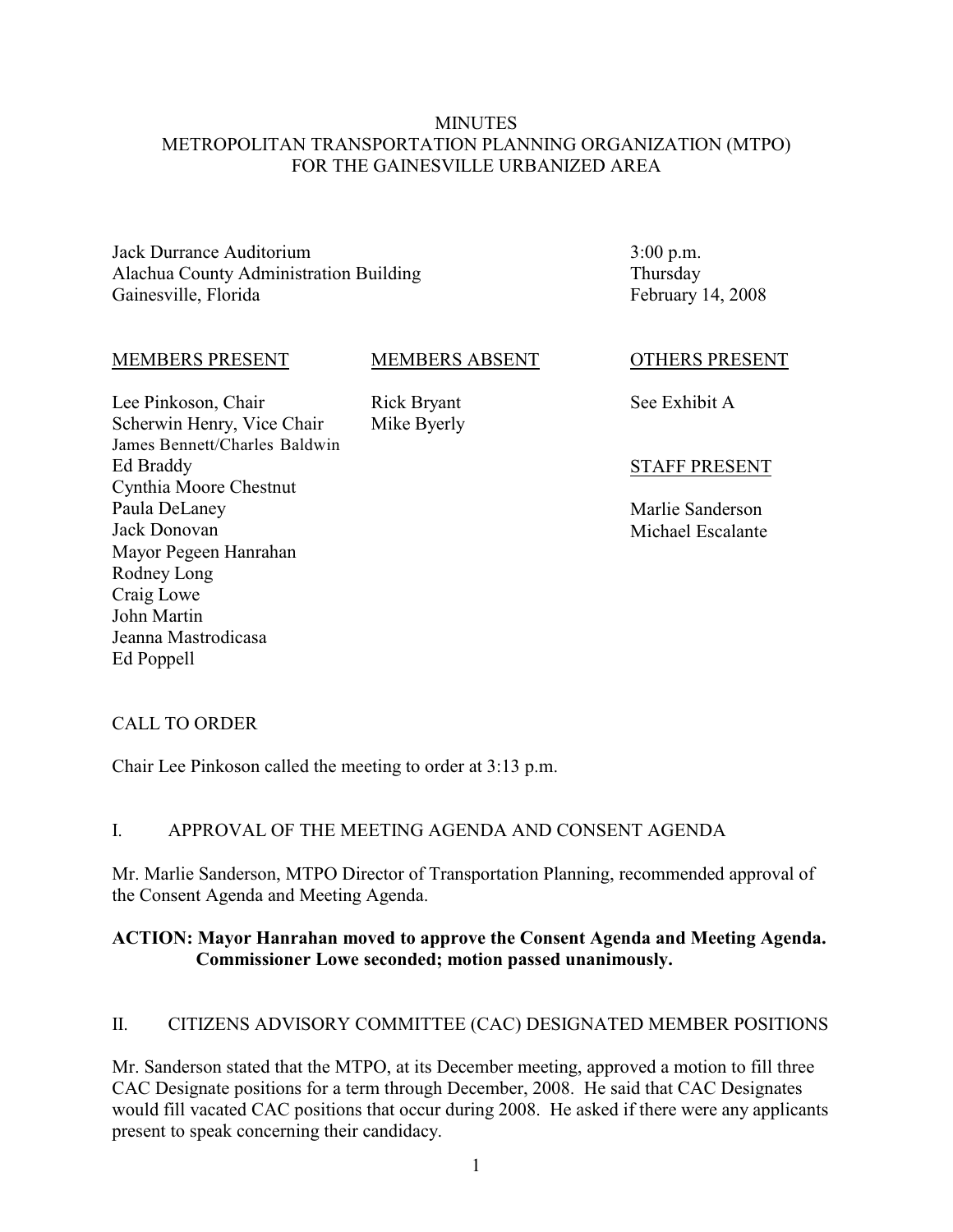## **MINUTES** METROPOLITAN TRANSPORTATION PLANNING ORGANIZATION (MTPO) FOR THE GAINESVILLE URBANIZED AREA

Jack Durrance Auditorium Alachua County Administration Building Gainesville, Florida

3:00 p.m. Thursday February 14, 2008

#### MEMBERS PRESENT

#### MEMBERS ABSENT

Rick Bryant Mike Byerly

Lee Pinkoson, Chair Scherwin Henry, Vice Chair James Bennett/Charles Baldwin Ed Braddy Cynthia Moore Chestnut Paula DeLaney Jack Donovan Mayor Pegeen Hanrahan Rodney Long Craig Lowe John Martin Jeanna Mastrodicasa Ed Poppell

# OTHERS PRESENT

See Exhibit A

## STAFF PRESENT

Marlie Sanderson Michael Escalante

# CALL TO ORDER

Chair Lee Pinkoson called the meeting to order at 3:13 p.m.

## I. APPROVAL OF THE MEETING AGENDA AND CONSENT AGENDA

Mr. Marlie Sanderson, MTPO Director of Transportation Planning, recommended approval of the Consent Agenda and Meeting Agenda.

## **ACTION: Mayor Hanrahan moved to approve the Consent Agenda and Meeting Agenda. Commissioner Lowe seconded; motion passed unanimously.**

## II. CITIZENS ADVISORY COMMITTEE (CAC) DESIGNATED MEMBER POSITIONS

Mr. Sanderson stated that the MTPO, at its December meeting, approved a motion to fill three CAC Designate positions for a term through December, 2008. He said that CAC Designates would fill vacated CAC positions that occur during 2008. He asked if there were any applicants present to speak concerning their candidacy.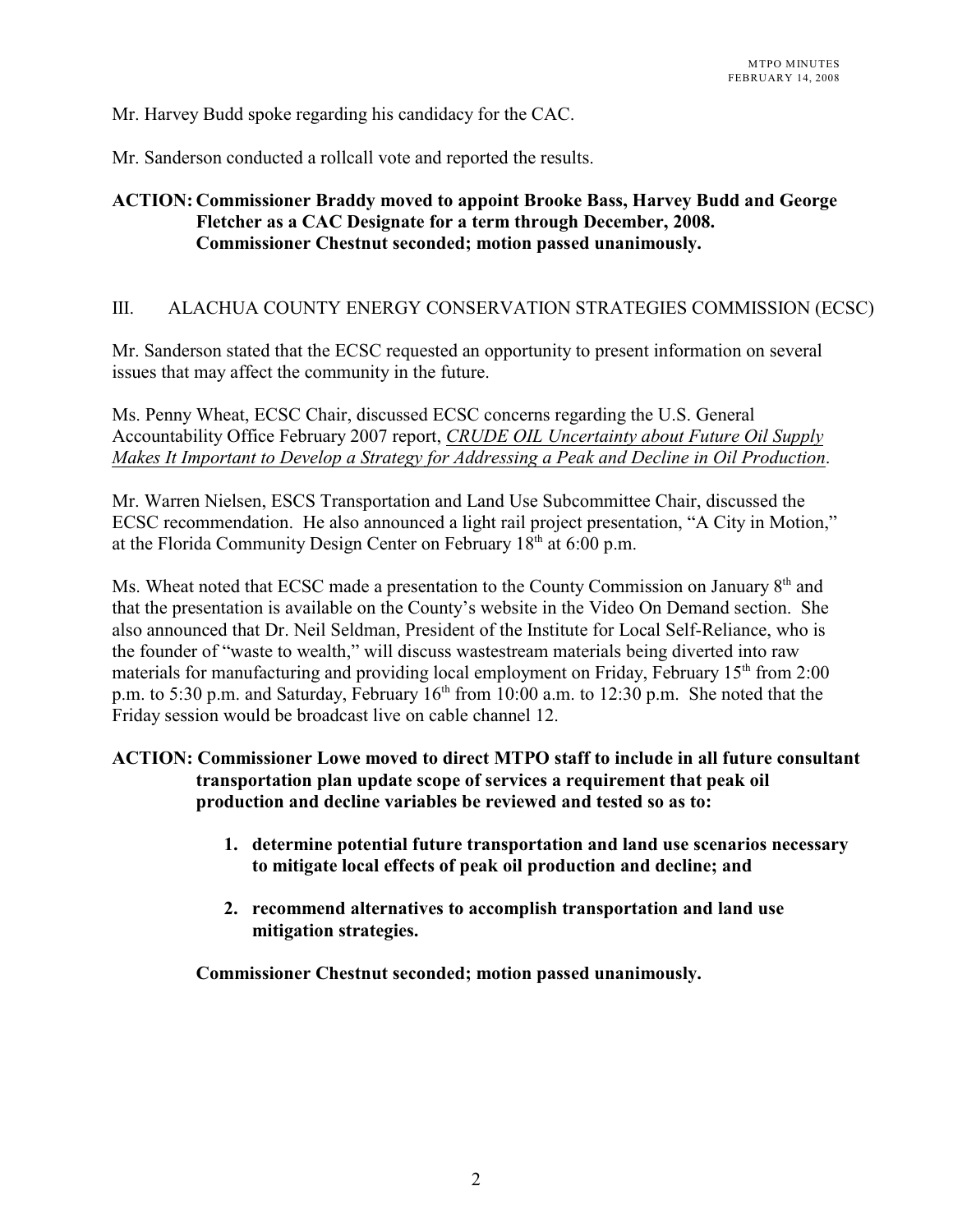Mr. Harvey Budd spoke regarding his candidacy for the CAC.

Mr. Sanderson conducted a rollcall vote and reported the results.

# **ACTION: Commissioner Braddy moved to appoint Brooke Bass, Harvey Budd and George Fletcher as a CAC Designate for a term through December, 2008. Commissioner Chestnut seconded; motion passed unanimously.**

# III. ALACHUA COUNTY ENERGY CONSERVATION STRATEGIES COMMISSION (ECSC)

Mr. Sanderson stated that the ECSC requested an opportunity to present information on several issues that may affect the community in the future.

Ms. Penny Wheat, ECSC Chair, discussed ECSC concerns regarding the U.S. General Accountability Office February 2007 report, *CRUDE OIL Uncertainty about Future Oil Supply Makes It Important to Develop a Strategy for Addressing a Peak and Decline in Oil Production*.

Mr. Warren Nielsen, ESCS Transportation and Land Use Subcommittee Chair, discussed the ECSC recommendation. He also announced a light rail project presentation, "A City in Motion," at the Florida Community Design Center on February  $18<sup>th</sup>$  at 6:00 p.m.

Ms. Wheat noted that ECSC made a presentation to the County Commission on January  $8<sup>th</sup>$  and that the presentation is available on the County's website in the Video On Demand section. She also announced that Dr. Neil Seldman, President of the Institute for Local Self-Reliance, who is the founder of "waste to wealth," will discuss wastestream materials being diverted into raw materials for manufacturing and providing local employment on Friday, February  $15<sup>th</sup>$  from 2:00 p.m. to 5:30 p.m. and Saturday, February  $16<sup>th</sup>$  from 10:00 a.m. to 12:30 p.m. She noted that the Friday session would be broadcast live on cable channel 12.

# **ACTION: Commissioner Lowe moved to direct MTPO staff to include in all future consultant transportation plan update scope of services a requirement that peak oil production and decline variables be reviewed and tested so as to:**

- **1. determine potential future transportation and land use scenarios necessary to mitigate local effects of peak oil production and decline; and**
- **2. recommend alternatives to accomplish transportation and land use mitigation strategies.**

**Commissioner Chestnut seconded; motion passed unanimously.**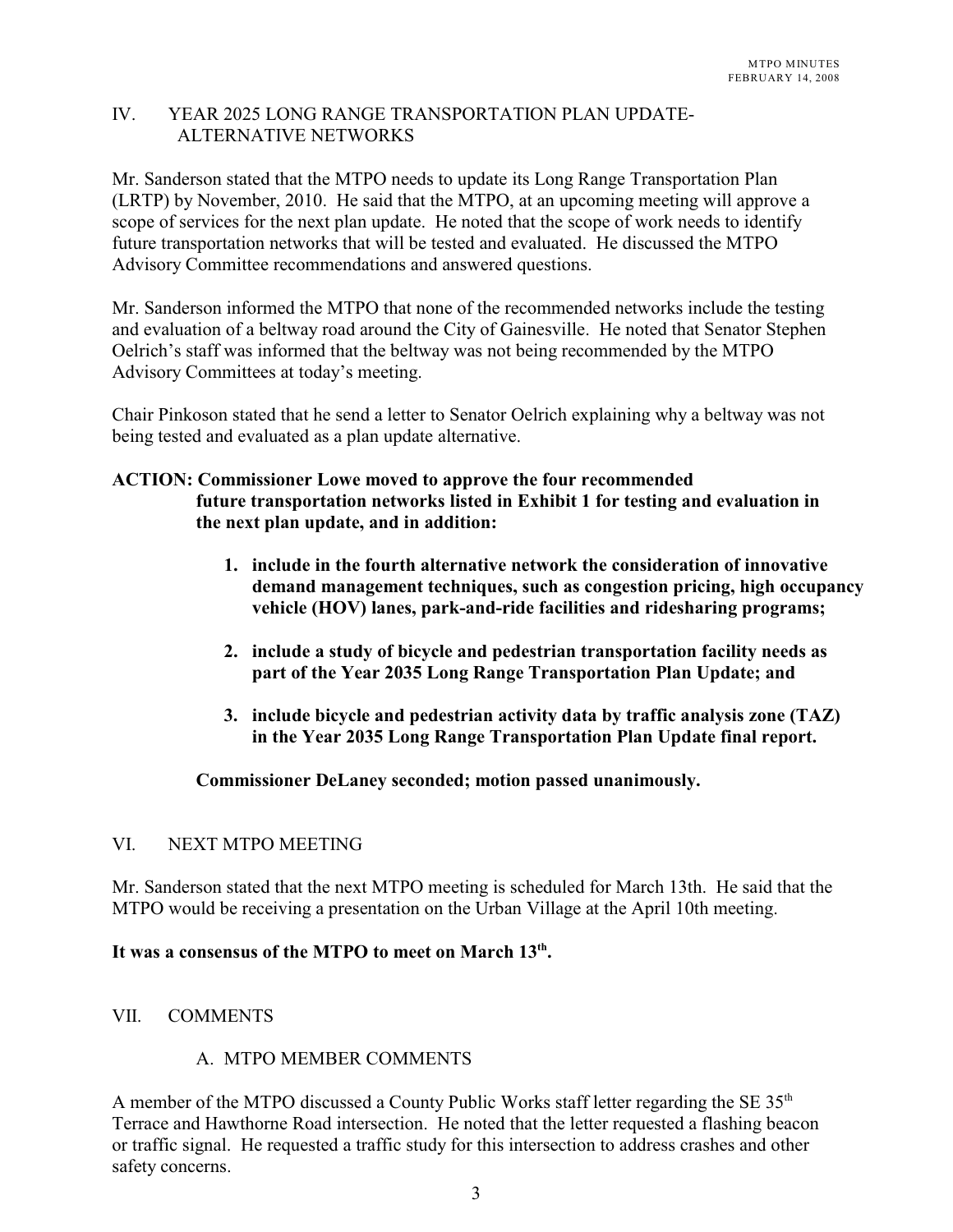## IV. YEAR 2025 LONG RANGE TRANSPORTATION PLAN UPDATE- ALTERNATIVE NETWORKS

Mr. Sanderson stated that the MTPO needs to update its Long Range Transportation Plan (LRTP) by November, 2010. He said that the MTPO, at an upcoming meeting will approve a scope of services for the next plan update. He noted that the scope of work needs to identify future transportation networks that will be tested and evaluated. He discussed the MTPO Advisory Committee recommendations and answered questions.

Mr. Sanderson informed the MTPO that none of the recommended networks include the testing and evaluation of a beltway road around the City of Gainesville. He noted that Senator Stephen Oelrich's staff was informed that the beltway was not being recommended by the MTPO Advisory Committees at today's meeting.

Chair Pinkoson stated that he send a letter to Senator Oelrich explaining why a beltway was not being tested and evaluated as a plan update alternative.

## **ACTION: Commissioner Lowe moved to approve the four recommended future transportation networks listed in Exhibit 1 for testing and evaluation in the next plan update, and in addition:**

- **1. include in the fourth alternative network the consideration of innovative demand management techniques, such as congestion pricing, high occupancy vehicle (HOV) lanes, park-and-ride facilities and ridesharing programs;**
- **2. include a study of bicycle and pedestrian transportation facility needs as part of the Year 2035 Long Range Transportation Plan Update; and**
- **3. include bicycle and pedestrian activity data by traffic analysis zone (TAZ) in the Year 2035 Long Range Transportation Plan Update final report.**

# **Commissioner DeLaney seconded; motion passed unanimously.**

# VI. NEXT MTPO MEETING

Mr. Sanderson stated that the next MTPO meeting is scheduled for March 13th. He said that the MTPO would be receiving a presentation on the Urban Village at the April 10th meeting.

# It was a consensus of the MTPO to meet on March 13<sup>th</sup>.

## VII. COMMENTS

# A. MTPO MEMBER COMMENTS

A member of the MTPO discussed a County Public Works staff letter regarding the SE  $35<sup>th</sup>$ Terrace and Hawthorne Road intersection. He noted that the letter requested a flashing beacon or traffic signal. He requested a traffic study for this intersection to address crashes and other safety concerns.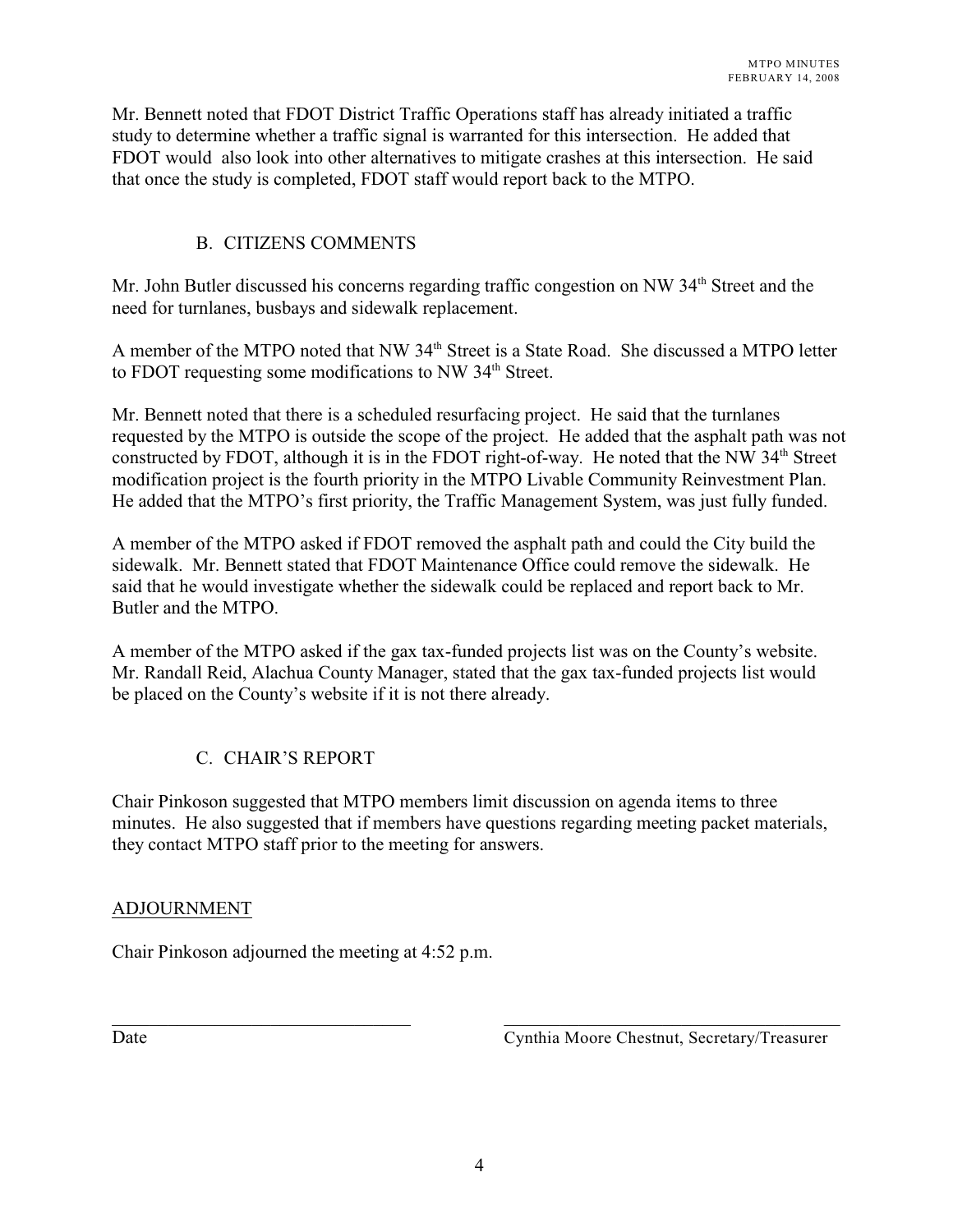Mr. Bennett noted that FDOT District Traffic Operations staff has already initiated a traffic study to determine whether a traffic signal is warranted for this intersection. He added that FDOT would also look into other alternatives to mitigate crashes at this intersection. He said that once the study is completed, FDOT staff would report back to the MTPO.

# B. CITIZENS COMMENTS

Mr. John Butler discussed his concerns regarding traffic congestion on NW  $34<sup>th</sup>$  Street and the need for turnlanes, busbays and sidewalk replacement.

A member of the MTPO noted that NW 34<sup>th</sup> Street is a State Road. She discussed a MTPO letter to FDOT requesting some modifications to NW 34<sup>th</sup> Street.

Mr. Bennett noted that there is a scheduled resurfacing project. He said that the turnlanes requested by the MTPO is outside the scope of the project. He added that the asphalt path was not constructed by FDOT, although it is in the FDOT right-of-way. He noted that the NW  $34<sup>th</sup>$  Street modification project is the fourth priority in the MTPO Livable Community Reinvestment Plan. He added that the MTPO's first priority, the Traffic Management System, was just fully funded.

A member of the MTPO asked if FDOT removed the asphalt path and could the City build the sidewalk. Mr. Bennett stated that FDOT Maintenance Office could remove the sidewalk. He said that he would investigate whether the sidewalk could be replaced and report back to Mr. Butler and the MTPO.

A member of the MTPO asked if the gax tax-funded projects list was on the County's website. Mr. Randall Reid, Alachua County Manager, stated that the gax tax-funded projects list would be placed on the County's website if it is not there already.

# C. CHAIR'S REPORT

Chair Pinkoson suggested that MTPO members limit discussion on agenda items to three minutes. He also suggested that if members have questions regarding meeting packet materials, they contact MTPO staff prior to the meeting for answers.

# ADJOURNMENT

Chair Pinkoson adjourned the meeting at 4:52 p.m.

Date Cynthia Moore Chestnut, Secretary/Treasurer

\_\_\_\_\_\_\_\_\_\_\_\_\_\_\_\_\_\_\_\_\_\_\_\_\_\_\_\_\_\_\_\_ \_\_\_\_\_\_\_\_\_\_\_\_\_\_\_\_\_\_\_\_\_\_\_\_\_\_\_\_\_\_\_\_\_\_\_\_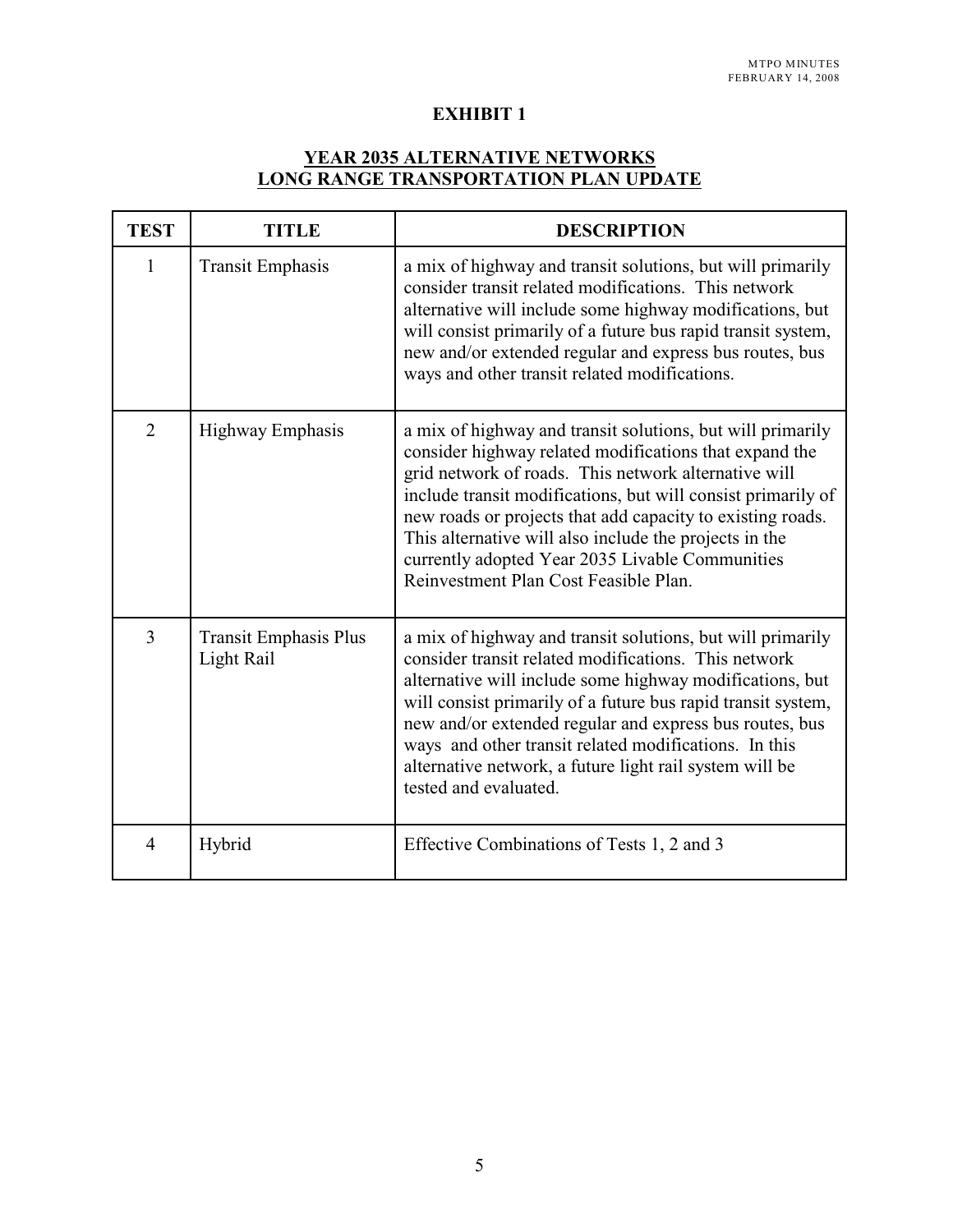# **EXHIBIT 1**

# **YEAR 2035 ALTERNATIVE NETWORKS LONG RANGE TRANSPORTATION PLAN UPDATE**

| <b>TEST</b>    | <b>TITLE</b>                               | <b>DESCRIPTION</b>                                                                                                                                                                                                                                                                                                                                                                                                                                               |  |
|----------------|--------------------------------------------|------------------------------------------------------------------------------------------------------------------------------------------------------------------------------------------------------------------------------------------------------------------------------------------------------------------------------------------------------------------------------------------------------------------------------------------------------------------|--|
| $\mathbf{1}$   | <b>Transit Emphasis</b>                    | a mix of highway and transit solutions, but will primarily<br>consider transit related modifications. This network<br>alternative will include some highway modifications, but<br>will consist primarily of a future bus rapid transit system,<br>new and/or extended regular and express bus routes, bus<br>ways and other transit related modifications.                                                                                                       |  |
| $\overline{2}$ | <b>Highway Emphasis</b>                    | a mix of highway and transit solutions, but will primarily<br>consider highway related modifications that expand the<br>grid network of roads. This network alternative will<br>include transit modifications, but will consist primarily of<br>new roads or projects that add capacity to existing roads.<br>This alternative will also include the projects in the<br>currently adopted Year 2035 Livable Communities<br>Reinvestment Plan Cost Feasible Plan. |  |
| 3              | <b>Transit Emphasis Plus</b><br>Light Rail | a mix of highway and transit solutions, but will primarily<br>consider transit related modifications. This network<br>alternative will include some highway modifications, but<br>will consist primarily of a future bus rapid transit system,<br>new and/or extended regular and express bus routes, bus<br>ways and other transit related modifications. In this<br>alternative network, a future light rail system will be<br>tested and evaluated.           |  |
| 4              | Hybrid                                     | Effective Combinations of Tests 1, 2 and 3                                                                                                                                                                                                                                                                                                                                                                                                                       |  |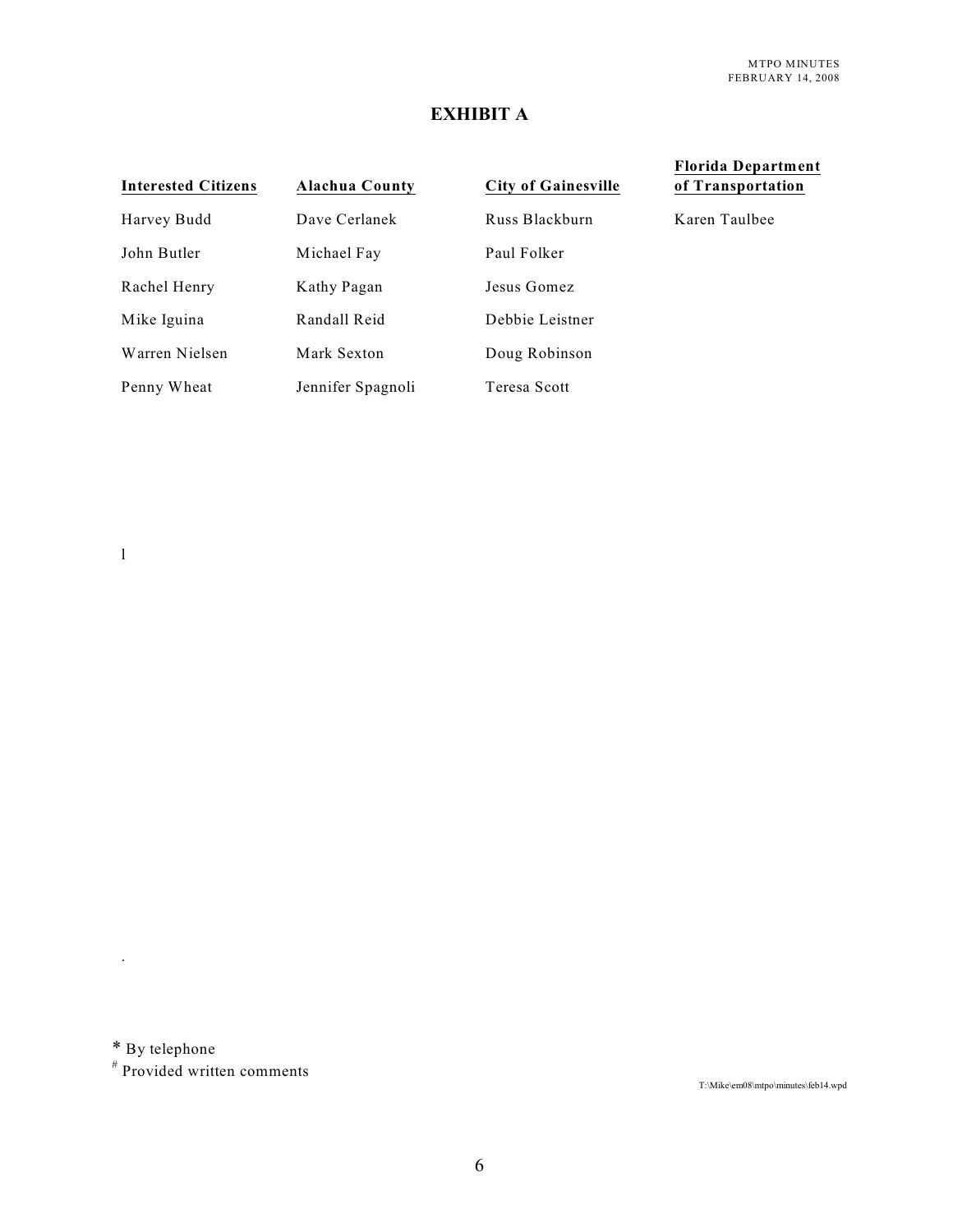# **EXHIBIT A**

| <b>Interested Citizens</b> | Alachua County    | <b>City of Gainesville</b> |
|----------------------------|-------------------|----------------------------|
| Harvey Budd                | Dave Cerlanek     | Russ Blackburn             |
| John Butler                | Michael Fay       | Paul Folker                |
| Rachel Henry               | Kathy Pagan       | Jesus Gomez                |
| Mike Iguina                | Randall Reid      | Debbie Leistner            |
| Warren Nielsen             | Mark Sexton       | Doug Robinson              |
| Penny Wheat                | Jennifer Spagnoli | Teresa Scott               |

**Florida Department of Transportation**

Karen Taulbee

\* By telephone

.

l

# Provided written comments

T:\Mike\em08\mtpo\minutes\feb14.wpd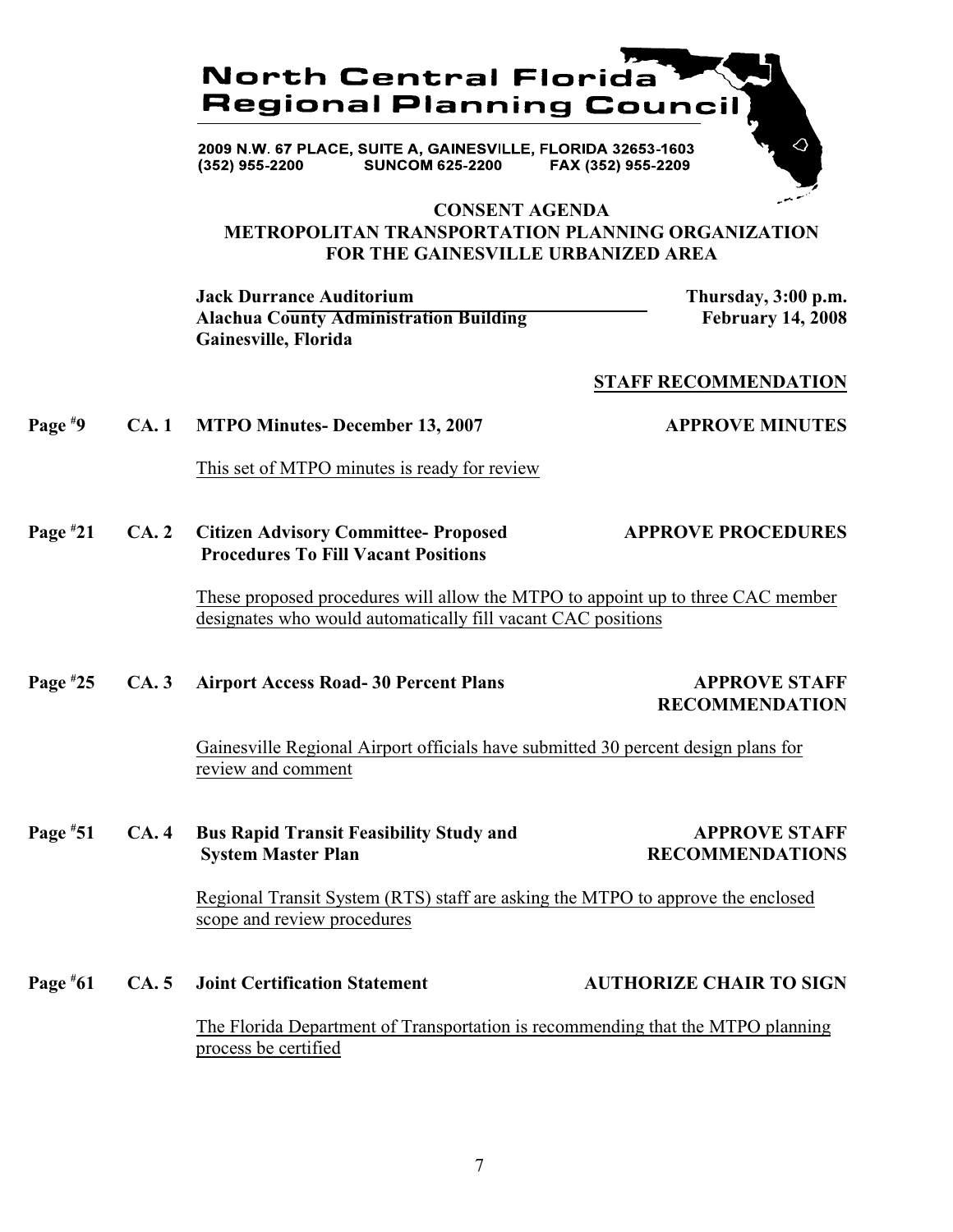

2009 N.W. 67 PLACE, SUITE A, GAINESVILLE, FLORIDA 32653-1603 (352) 955-2200 **SUNCOM 625-2200** FAX (352) 955-2209

## **CONSENT AGENDA METROPOLITAN TRANSPORTATION PLANNING ORGANIZATION FOR THE GAINESVILLE URBANIZED AREA**

**Jack Durrance Auditorium Thursday, 3:00 p.m. Alachua County Administration Building February 14, 2008 Gainesville, Florida**

#### **STAFF RECOMMENDATION**

#### **Page**  $\overset{\text{#9}}{ }$  **CA. 1 MTPO Minutes- December 13, 2007 APPROVE MINUTES**

This set of MTPO minutes is ready for review

**Pagea 2 • Citizen Advisory Committee- Proposed APPROVE PROCEDURES** Page #21  **Procedures To Fill Vacant Positions**

> These proposed procedures will allow the MTPO to appoint up to three CAC member designates who would automatically fill vacant CAC positions

## **Page #25** CA. 3 Airport Access Road- 30 Percent Plans **APPROVE STAFF**

# **RECOMMENDATION**

Gainesville Regional Airport officials have submitted 30 percent design plans for review and comment

# Page  $*51$  CA. 4 Bus Rapid Transit Feasibility Study and **APPROVE STAFF System Master Plan RECOMMENDATIONS**

Regional Transit System (RTS) staff are asking the MTPO to approve the enclosed scope and review procedures

Page #61 CA. 5 Joint Certification Statement **AUTHORIZE CHAIR TO SIGN** 

The Florida Department of Transportation is recommending that the MTPO planning process be certified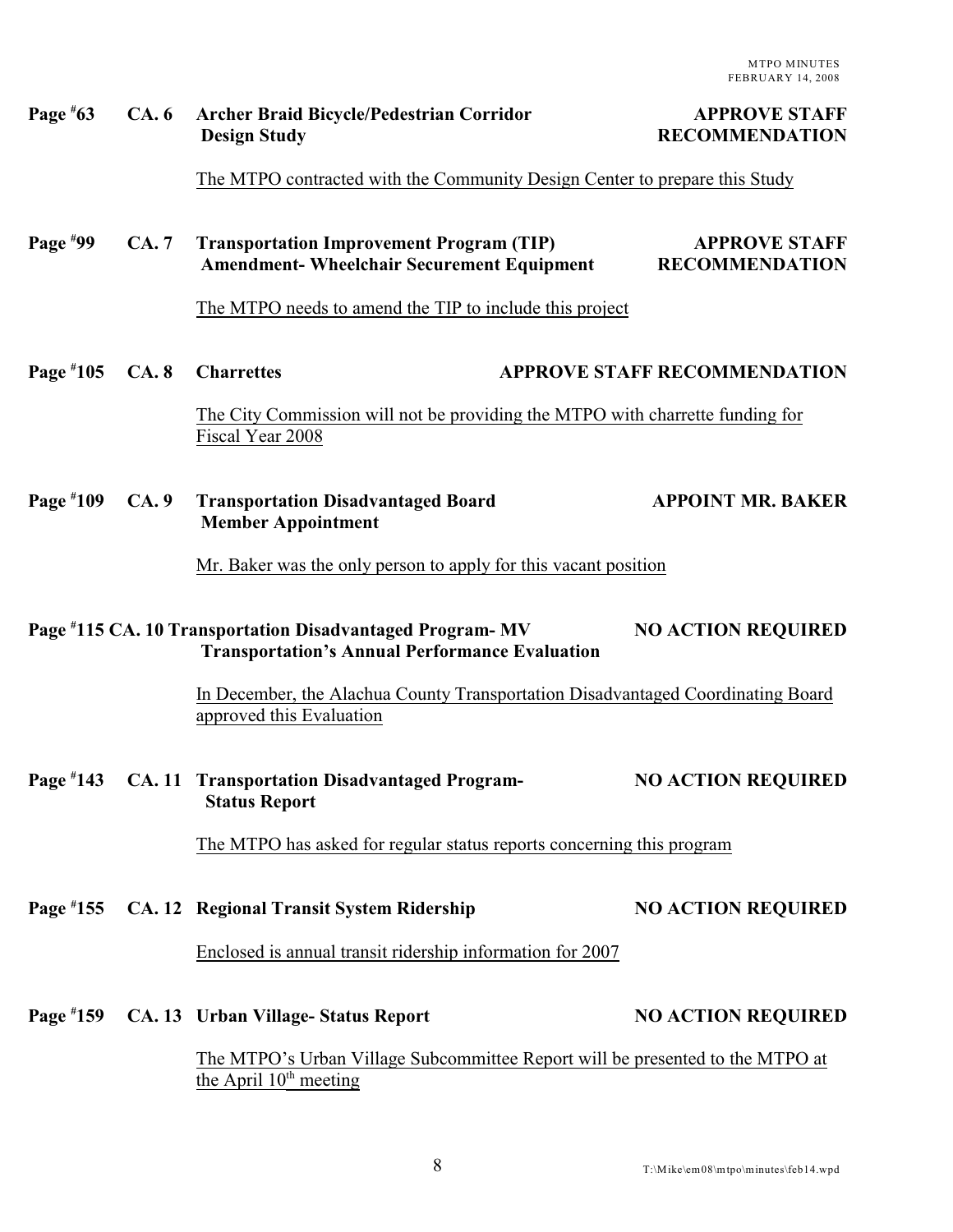| Page $*63$                                                                                                                                     | CA.6        | Archer Braid Bicycle/Pedestrian Corridor<br><b>Design Study</b>                                                     | <b>APPROVE STAFF</b><br><b>RECOMMENDATION</b> |  |
|------------------------------------------------------------------------------------------------------------------------------------------------|-------------|---------------------------------------------------------------------------------------------------------------------|-----------------------------------------------|--|
|                                                                                                                                                |             | The MTPO contracted with the Community Design Center to prepare this Study                                          |                                               |  |
| Page $*99$                                                                                                                                     | <b>CA.7</b> | <b>Transportation Improvement Program (TIP)</b><br><b>Amendment- Wheelchair Securement Equipment</b>                | <b>APPROVE STAFF</b><br><b>RECOMMENDATION</b> |  |
|                                                                                                                                                |             | The MTPO needs to amend the TIP to include this project                                                             |                                               |  |
| Page #105                                                                                                                                      | <b>CA.8</b> | <b>Charrettes</b>                                                                                                   | <b>APPROVE STAFF RECOMMENDATION</b>           |  |
|                                                                                                                                                |             | The City Commission will not be providing the MTPO with charrette funding for<br>Fiscal Year 2008                   |                                               |  |
| Page $*109$                                                                                                                                    | CA.9        | <b>Transportation Disadvantaged Board</b><br><b>Member Appointment</b>                                              | <b>APPOINT MR. BAKER</b>                      |  |
|                                                                                                                                                |             | Mr. Baker was the only person to apply for this vacant position                                                     |                                               |  |
| Page #115 CA. 10 Transportation Disadvantaged Program-MV<br><b>NO ACTION REQUIRED</b><br><b>Transportation's Annual Performance Evaluation</b> |             |                                                                                                                     |                                               |  |
|                                                                                                                                                |             | In December, the Alachua County Transportation Disadvantaged Coordinating Board<br>approved this Evaluation         |                                               |  |
| Page $*143$                                                                                                                                    |             | CA. 11 Transportation Disadvantaged Program-<br><b>Status Report</b>                                                | <b>NO ACTION REQUIRED</b>                     |  |
|                                                                                                                                                |             | The MTPO has asked for regular status reports concerning this program                                               |                                               |  |
| Page $*155$                                                                                                                                    |             | CA. 12 Regional Transit System Ridership                                                                            | <b>NO ACTION REQUIRED</b>                     |  |
|                                                                                                                                                |             | Enclosed is annual transit ridership information for 2007                                                           |                                               |  |
| Page #159                                                                                                                                      |             | CA. 13 Urban Village-Status Report                                                                                  | <b>NO ACTION REQUIRED</b>                     |  |
|                                                                                                                                                |             | The MTPO's Urban Village Subcommittee Report will be presented to the MTPO at<br>the April 10 <sup>th</sup> meeting |                                               |  |